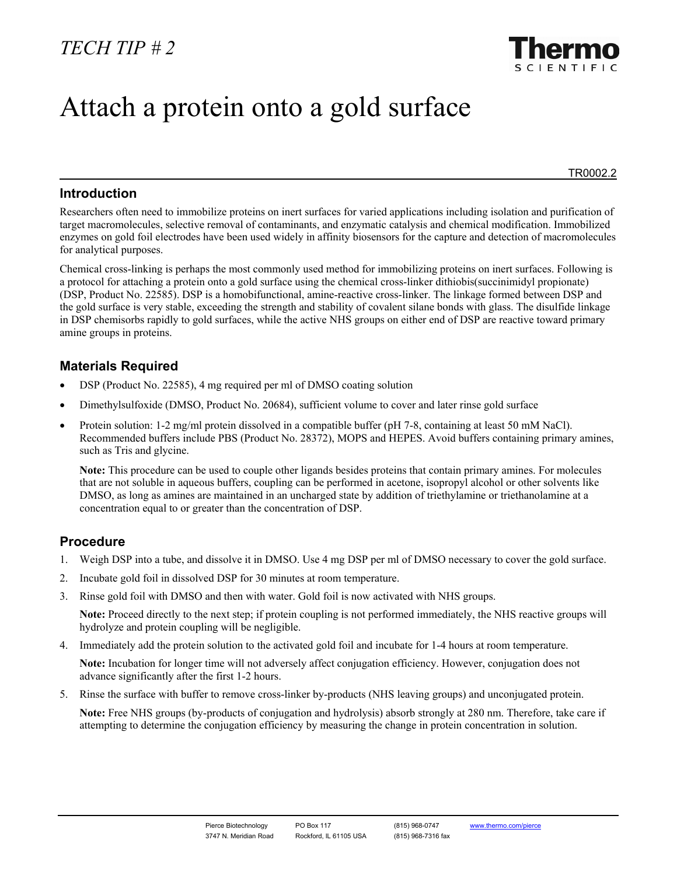

# Attach a protein onto a gold surface

TR0002.2

#### **Introduction**

Researchers often need to immobilize proteins on inert surfaces for varied applications including isolation and purification of target macromolecules, selective removal of contaminants, and enzymatic catalysis and chemical modification. Immobilized enzymes on gold foil electrodes have been used widely in affinity biosensors for the capture and detection of macromolecules for analytical purposes.

Chemical cross-linking is perhaps the most commonly used method for immobilizing proteins on inert surfaces. Following is a protocol for attaching a protein onto a gold surface using the chemical cross-linker dithiobis(succinimidyl propionate) (DSP, Product No. 22585). DSP is a homobifunctional, amine-reactive cross-linker. The linkage formed between DSP and the gold surface is very stable, exceeding the strength and stability of covalent silane bonds with glass. The disulfide linkage in DSP chemisorbs rapidly to gold surfaces, while the active NHS groups on either end of DSP are reactive toward primary amine groups in proteins.

### **Materials Required**

- DSP (Product No. 22585), 4 mg required per ml of DMSO coating solution
- Dimethylsulfoxide (DMSO, Product No. 20684), sufficient volume to cover and later rinse gold surface
- Protein solution: 1-2 mg/ml protein dissolved in a compatible buffer (pH 7-8, containing at least 50 mM NaCl). Recommended buffers include PBS (Product No. 28372), MOPS and HEPES. Avoid buffers containing primary amines, such as Tris and glycine.

**Note:** This procedure can be used to couple other ligands besides proteins that contain primary amines. For molecules that are not soluble in aqueous buffers, coupling can be performed in acetone, isopropyl alcohol or other solvents like DMSO, as long as amines are maintained in an uncharged state by addition of triethylamine or triethanolamine at a concentration equal to or greater than the concentration of DSP.

## **Procedure**

- 1. Weigh DSP into a tube, and dissolve it in DMSO. Use 4 mg DSP per ml of DMSO necessary to cover the gold surface.
- 2. Incubate gold foil in dissolved DSP for 30 minutes at room temperature.
- 3. Rinse gold foil with DMSO and then with water. Gold foil is now activated with NHS groups.

**Note:** Proceed directly to the next step; if protein coupling is not performed immediately, the NHS reactive groups will hydrolyze and protein coupling will be negligible.

4. Immediately add the protein solution to the activated gold foil and incubate for 1-4 hours at room temperature.

**Note:** Incubation for longer time will not adversely affect conjugation efficiency. However, conjugation does not advance significantly after the first 1-2 hours.

5. Rinse the surface with buffer to remove cross-linker by-products (NHS leaving groups) and unconjugated protein.

**Note:** Free NHS groups (by-products of conjugation and hydrolysis) absorb strongly at 280 nm. Therefore, take care if attempting to determine the conjugation efficiency by measuring the change in protein concentration in solution.